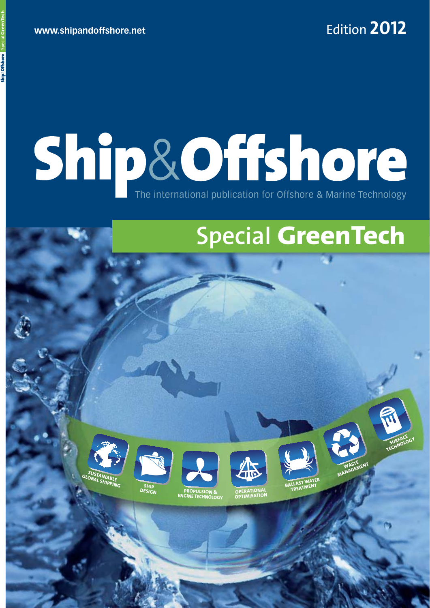# Ship&Offshore The international publication for Offshore & Marine Technology

## **Special GreenTech**





**SHIP** 



**ENGINE TECHNOLOGY**













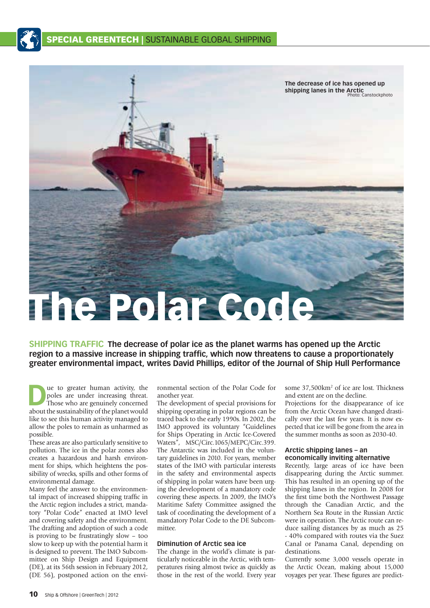



**SHIPPING TRAFFIC The decrease of polar ice as the planet warms has opened up the Arctic**  region to a massive increase in shipping traffic, which now threatens to cause a proportionately **greater environmental impact, writes David Phillips, editor of the Journal of Ship Hull Performance**

**D**ue to greater human activity, the poles are under increasing threat.<br>Those who are genuinely concerned poles are under increasing threat. Those who are genuinely concerned about the sustainability of the planet would like to see this human activity managed to allow the poles to remain as unharmed as possible.

These areas are also particularly sensitive to pollution. The ice in the polar zones also creates a hazardous and harsh environment for ships, which heightens the possibility of wrecks, spills and other forms of environmental damage.

Many feel the answer to the environmental impact of increased shipping traffic in the Arctic region includes a strict, mandatory "Polar Code" enacted at IMO level and covering safety and the environment. The drafting and adoption of such a code is proving to be frustratingly slow – too slow to keep up with the potential harm it is designed to prevent. The IMO Subcommittee on Ship Design and Equipment (DE), at its 56th session in February 2012, (DE 56), postponed action on the environmental section of the Polar Code for another year.

The development of special provisions for shipping operating in polar regions can be traced back to the early 1990s. In 2002, the IMO approved its voluntary "Guidelines for Ships Operating in Arctic Ice-Covered Waters", MSC/Circ.1065/MEPC/Circ.399. The Antarctic was included in the voluntary guidelines in 2010. For years, member states of the IMO with particular interests in the safety and environmental aspects of shipping in polar waters have been urging the development of a mandatory code covering these aspects. In 2009, the IMO's Maritime Safety Committee assigned the task of coordinating the development of a mandatory Polar Code to the DE Subcommittee.

### **Diminution of Arctic sea ice**

The change in the world's climate is particularly noticeable in the Arctic, with temperatures rising almost twice as quickly as those in the rest of the world. Every year some 37,500 km<sup>2</sup> of ice are lost. Thickness and extent are on the decline.

Projections for the disappearance of ice from the Arctic Ocean have changed drastically over the last few years. It is now expected that ice will be gone from the area in the summer months as soon as 2030-40.

#### **Arctic shipping lanes – an economically inviting alternative**

Recently, large areas of ice have been disappearing during the Arctic summer. This has resulted in an opening up of the shipping lanes in the region. In 2008 for the first time both the Northwest Passage through the Canadian Arctic, and the Northern Sea Route in the Russian Arctic were in operation. The Arctic route can reduce sailing distances by as much as 25 - 40% compared with routes via the Suez Canal or Panama Canal, depending on destinations.

Currently some 3,000 vessels operate in the Arctic Ocean, making about 15,000 voyages per year. These figures are predict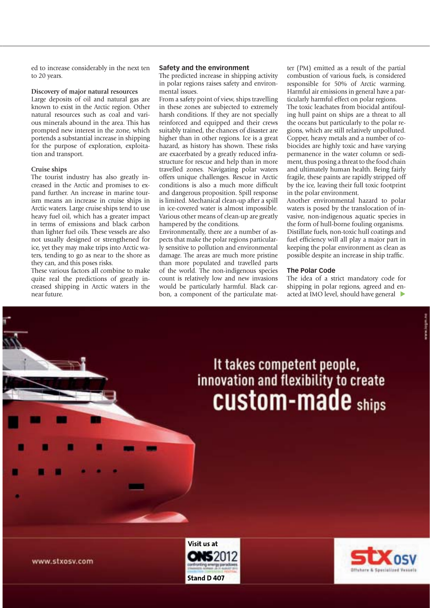ed to increase considerably in the next ten to 20 years.

#### **Discovery of major natural resources**

Large deposits of oil and natural gas are known to exist in the Arctic region. Other natural resources such as coal and various minerals abound in the area. This has prompted new interest in the zone, which portends a substantial increase in shipping for the purpose of exploration, exploitation and transport.

#### **Cruise ships**

The tourist industry has also greatly increased in the Arctic and promises to expand further. An increase in marine tourism means an increase in cruise ships in Arctic waters. Large cruise ships tend to use heavy fuel oil, which has a greater impact in terms of emissions and black carbon than lighter fuel oils. These vessels are also not usually designed or strengthened for ice, yet they may make trips into Arctic waters, tending to go as near to the shore as they can, and this poses risks.

These various factors all combine to make quite real the predictions of greatly increased shipping in Arctic waters in the near future.

#### **Safety and the environment**

The predicted increase in shipping activity in polar regions raises safety and environmental issues.

From a safety point of view, ships travelling in these zones are subjected to extremely harsh conditions. If they are not specially reinforced and equipped and their crews suitably trained, the chances of disaster are higher than in other regions. Ice is a great hazard, as history has shown. These risks are exacerbated by a greatly reduced infrastructure for rescue and help than in more travelled zones. Navigating polar waters offers unique challenges. Rescue in Arctic conditions is also a much more difficult and dangerous proposition. Spill response is limited. Mechanical clean-up after a spill in ice-covered water is almost impossible. Various other means of clean-up are greatly hampered by the conditions.

Environmentally, there are a number of aspects that make the polar regions particularly sensitive to pollution and environmental damage. The areas are much more pristine than more populated and travelled parts of the world. The non-indigenous species count is relatively low and new invasions would be particularly harmful. Black carbon, a component of the particulate matter (PM) emitted as a result of the partial combustion of various fuels, is considered responsible for 50% of Arctic warming. Harmful air emissions in general have a particularly harmful effect on polar regions.

The toxic leachates from biocidal antifouling hull paint on ships are a threat to all the oceans but particularly to the polar regions, which are still relatively unpolluted. Copper, heavy metals and a number of cobiocides are highly toxic and have varying permanence in the water column or sediment, thus posing a threat to the food chain and ultimately human health. Being fairly fragile, these paints are rapidly stripped off by the ice, leaving their full toxic footprint in the polar environment.

Another environmental hazard to polar waters is posed by the translocation of invasive, non-indigenous aquatic species in the form of hull-borne fouling organisms. Distillate fuels, non-toxic hull coatings and fuel efficiency will all play a major part in keeping the polar environment as clean as possible despite an increase in ship traffic.

#### **The Polar Code**

The idea of a strict mandatory code for shipping in polar regions, agreed and enacted at IMO level, should have general

# It takes competent people,<br>innovation and flexibility to create **CUStom-made** ships